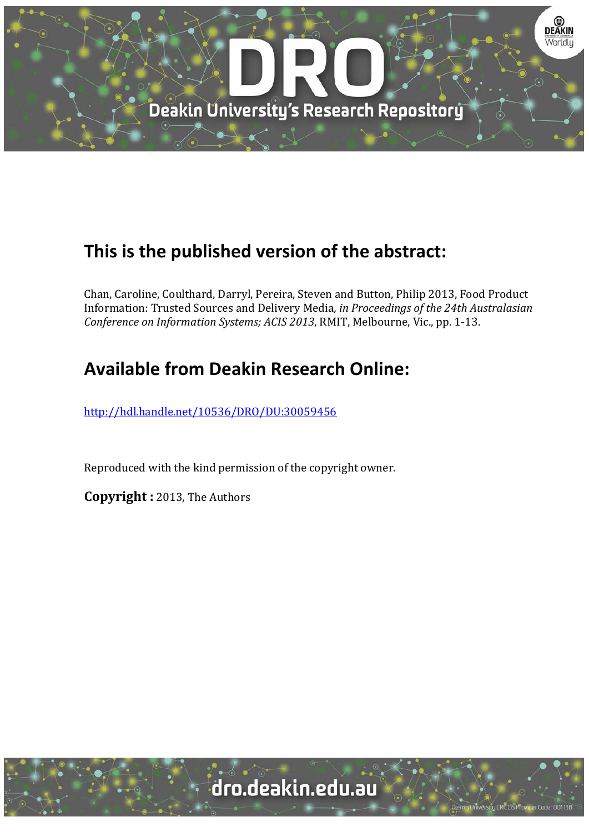

# **This is the published version of the abstract:**

Chan, Caroline, Coulthard, Darryl, Pereira, Steven and Button, Philip 2013, Food Product Information: Trusted Sources and Delivery Media*, in Proceedings of the 24th Australasian Conference on Information Systems; ACIS 2013*, RMIT, Melbourne, Vic., pp. 1‐13. 

# **Available from Deakin Research Online:**

http://hdl.handle.net/10536/DRO/DU:30059456

Reproduced with the kind permission of the copyright owner.

**Copyright** : 2013, The Authors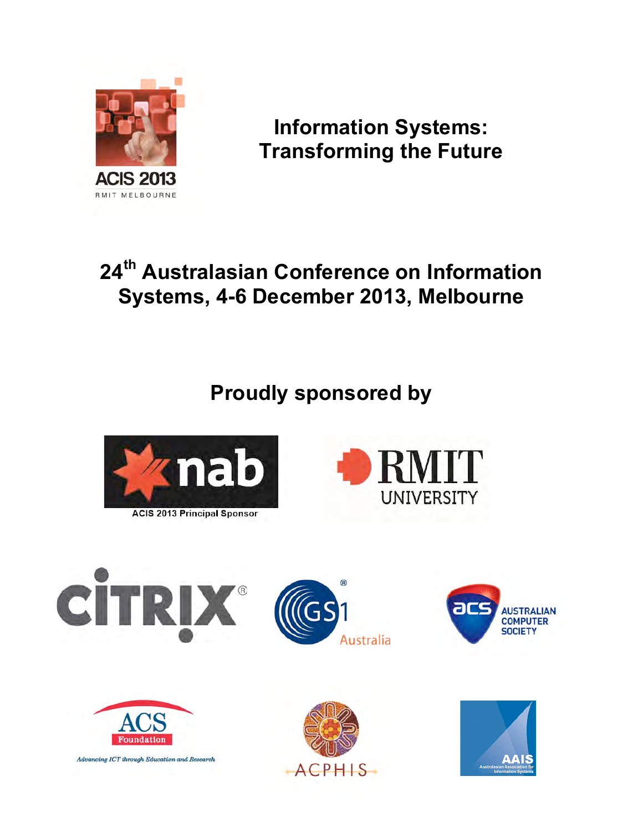

**Information Systems: Transforming the Future**

# **24th Australasian Conference on Information Systems, 4-6 December 2013, Melbourne**

**Proudly sponsored by**













Advancing ICT through Education and Research



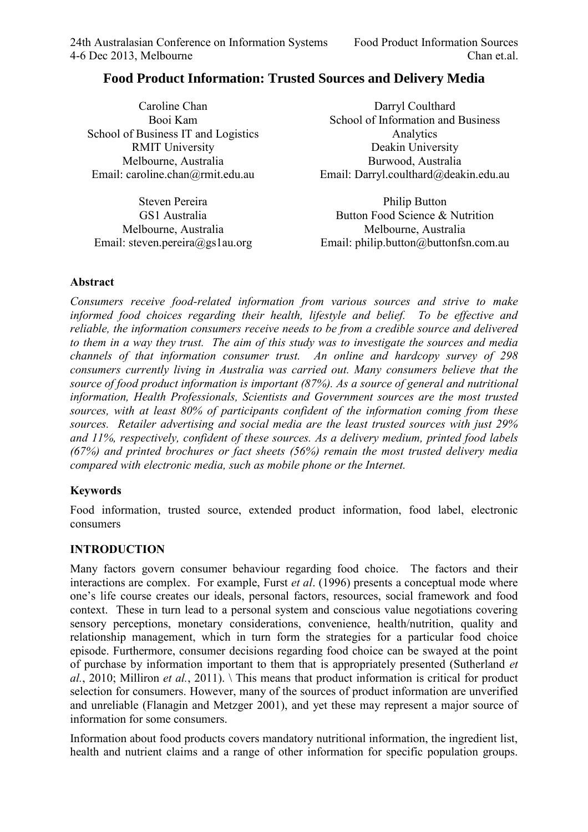# **Food Product Information: Trusted Sources and Delivery Media**

| Caroline Chan                            | Darryl Coulthard                            |
|------------------------------------------|---------------------------------------------|
| Booi Kam                                 | School of Information and Business          |
| School of Business IT and Logistics      | Analytics                                   |
| <b>RMIT University</b>                   | Deakin University                           |
| Melbourne, Australia                     | Burwood, Australia                          |
| Email: caroline.chan@rmit.edu.au         | Email: Darryl.coulthard@deakin.edu.au       |
| $C_{\text{forward}}$ D <sub>oroiro</sub> | $\mathbf{D}$ ilin $\mathbf{D}_{\mathbf{u}}$ |

Steven Pereira GS1 Australia Melbourne, Australia Email: steven.pereira@gs1au.org

Philip Button Button Food Science & Nutrition Melbourne, Australia Email: philip.button@buttonfsn.com.au

#### **Abstract**

*Consumers receive food-related information from various sources and strive to make informed food choices regarding their health, lifestyle and belief. To be effective and reliable, the information consumers receive needs to be from a credible source and delivered to them in a way they trust. The aim of this study was to investigate the sources and media channels of that information consumer trust. An online and hardcopy survey of 298 consumers currently living in Australia was carried out. Many consumers believe that the source of food product information is important (87%). As a source of general and nutritional information, Health Professionals, Scientists and Government sources are the most trusted sources, with at least 80% of participants confident of the information coming from these sources. Retailer advertising and social media are the least trusted sources with just 29% and 11%, respectively, confident of these sources. As a delivery medium, printed food labels (67%) and printed brochures or fact sheets (56%) remain the most trusted delivery media compared with electronic media, such as mobile phone or the Internet.* 

#### **Keywords**

Food information, trusted source, extended product information, food label, electronic consumers

#### **INTRODUCTION**

Many factors govern consumer behaviour regarding food choice. The factors and their interactions are complex. For example, Furst *et al*. (1996) presents a conceptual mode where one's life course creates our ideals, personal factors, resources, social framework and food context. These in turn lead to a personal system and conscious value negotiations covering sensory perceptions, monetary considerations, convenience, health/nutrition, quality and relationship management, which in turn form the strategies for a particular food choice episode. Furthermore, consumer decisions regarding food choice can be swayed at the point of purchase by information important to them that is appropriately presented (Sutherland *et al.*, 2010; Milliron *et al.*, 2011). \ This means that product information is critical for product selection for consumers. However, many of the sources of product information are unverified and unreliable (Flanagin and Metzger 2001), and yet these may represent a major source of information for some consumers.

Information about food products covers mandatory nutritional information, the ingredient list, health and nutrient claims and a range of other information for specific population groups.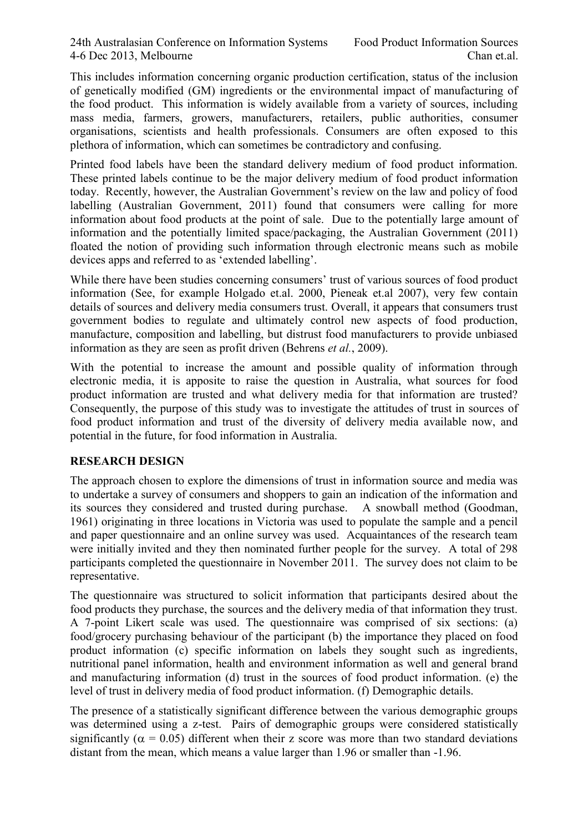This includes information concerning organic production certification, status of the inclusion of genetically modified (GM) ingredients or the environmental impact of manufacturing of the food product. This information is widely available from a variety of sources, including mass media, farmers, growers, manufacturers, retailers, public authorities, consumer organisations, scientists and health professionals. Consumers are often exposed to this plethora of information, which can sometimes be contradictory and confusing.

Printed food labels have been the standard delivery medium of food product information. These printed labels continue to be the major delivery medium of food product information today. Recently, however, the Australian Government's review on the law and policy of food labelling (Australian Government, 2011) found that consumers were calling for more information about food products at the point of sale. Due to the potentially large amount of information and the potentially limited space/packaging, the Australian Government (2011) floated the notion of providing such information through electronic means such as mobile devices apps and referred to as 'extended labelling'.

While there have been studies concerning consumers' trust of various sources of food product information (See, for example Holgado et.al. 2000, Pieneak et.al 2007), very few contain details of sources and delivery media consumers trust. Overall, it appears that consumers trust government bodies to regulate and ultimately control new aspects of food production, manufacture, composition and labelling, but distrust food manufacturers to provide unbiased information as they are seen as profit driven (Behrens *et al.*, 2009).

With the potential to increase the amount and possible quality of information through electronic media, it is apposite to raise the question in Australia, what sources for food product information are trusted and what delivery media for that information are trusted? Consequently, the purpose of this study was to investigate the attitudes of trust in sources of food product information and trust of the diversity of delivery media available now, and potential in the future, for food information in Australia.

#### **RESEARCH DESIGN**

The approach chosen to explore the dimensions of trust in information source and media was to undertake a survey of consumers and shoppers to gain an indication of the information and its sources they considered and trusted during purchase. A snowball method (Goodman, 1961) originating in three locations in Victoria was used to populate the sample and a pencil and paper questionnaire and an online survey was used. Acquaintances of the research team were initially invited and they then nominated further people for the survey. A total of 298 participants completed the questionnaire in November 2011. The survey does not claim to be representative.

The questionnaire was structured to solicit information that participants desired about the food products they purchase, the sources and the delivery media of that information they trust. A 7-point Likert scale was used. The questionnaire was comprised of six sections: (a) food/grocery purchasing behaviour of the participant (b) the importance they placed on food product information (c) specific information on labels they sought such as ingredients, nutritional panel information, health and environment information as well and general brand and manufacturing information (d) trust in the sources of food product information. (e) the level of trust in delivery media of food product information. (f) Demographic details.

The presence of a statistically significant difference between the various demographic groups was determined using a z-test. Pairs of demographic groups were considered statistically significantly ( $\alpha$  = 0.05) different when their z score was more than two standard deviations distant from the mean, which means a value larger than 1.96 or smaller than -1.96.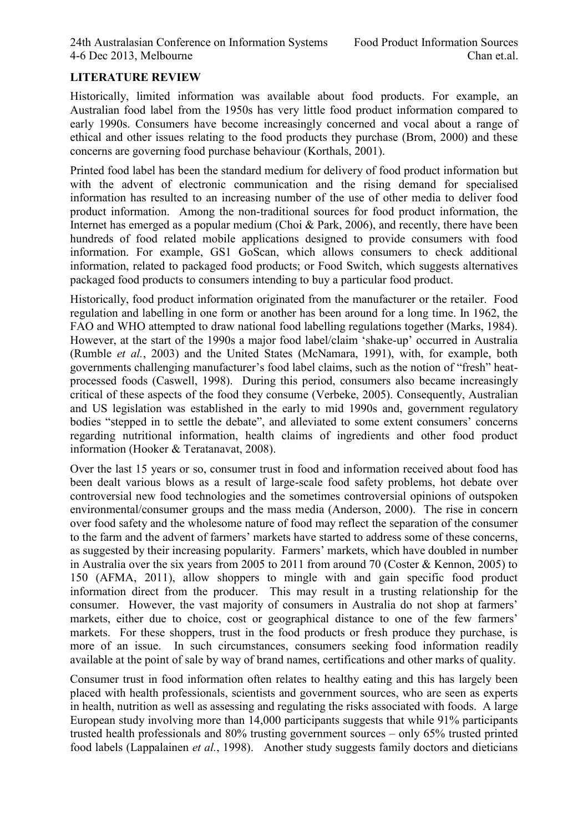## **LITERATURE REVIEW**

Historically, limited information was available about food products. For example, an Australian food label from the 1950s has very little food product information compared to early 1990s. Consumers have become increasingly concerned and vocal about a range of ethical and other issues relating to the food products they purchase (Brom, 2000) and these concerns are governing food purchase behaviour (Korthals, 2001).

Printed food label has been the standard medium for delivery of food product information but with the advent of electronic communication and the rising demand for specialised information has resulted to an increasing number of the use of other media to deliver food product information. Among the non-traditional sources for food product information, the Internet has emerged as a popular medium (Choi & Park, 2006), and recently, there have been hundreds of food related mobile applications designed to provide consumers with food information. For example, GS1 GoScan, which allows consumers to check additional information, related to packaged food products; or Food Switch, which suggests alternatives packaged food products to consumers intending to buy a particular food product.

Historically, food product information originated from the manufacturer or the retailer. Food regulation and labelling in one form or another has been around for a long time. In 1962, the FAO and WHO attempted to draw national food labelling regulations together (Marks, 1984). However, at the start of the 1990s a major food label/claim 'shake-up' occurred in Australia (Rumble *et al.*, 2003) and the United States (McNamara, 1991), with, for example, both governments challenging manufacturer's food label claims, such as the notion of "fresh" heatprocessed foods (Caswell, 1998). During this period, consumers also became increasingly critical of these aspects of the food they consume (Verbeke, 2005). Consequently, Australian and US legislation was established in the early to mid 1990s and, government regulatory bodies "stepped in to settle the debate", and alleviated to some extent consumers' concerns regarding nutritional information, health claims of ingredients and other food product information (Hooker & Teratanavat, 2008).

Over the last 15 years or so, consumer trust in food and information received about food has been dealt various blows as a result of large-scale food safety problems, hot debate over controversial new food technologies and the sometimes controversial opinions of outspoken environmental/consumer groups and the mass media (Anderson, 2000). The rise in concern over food safety and the wholesome nature of food may reflect the separation of the consumer to the farm and the advent of farmers' markets have started to address some of these concerns, as suggested by their increasing popularity. Farmers' markets, which have doubled in number in Australia over the six years from 2005 to 2011 from around 70 (Coster & Kennon, 2005) to 150 (AFMA, 2011), allow shoppers to mingle with and gain specific food product information direct from the producer. This may result in a trusting relationship for the consumer. However, the vast majority of consumers in Australia do not shop at farmers' markets, either due to choice, cost or geographical distance to one of the few farmers' markets. For these shoppers, trust in the food products or fresh produce they purchase, is more of an issue. In such circumstances, consumers seeking food information readily available at the point of sale by way of brand names, certifications and other marks of quality.

Consumer trust in food information often relates to healthy eating and this has largely been placed with health professionals, scientists and government sources, who are seen as experts in health, nutrition as well as assessing and regulating the risks associated with foods. A large European study involving more than 14,000 participants suggests that while 91% participants trusted health professionals and 80% trusting government sources – only 65% trusted printed food labels (Lappalainen *et al.*, 1998). Another study suggests family doctors and dieticians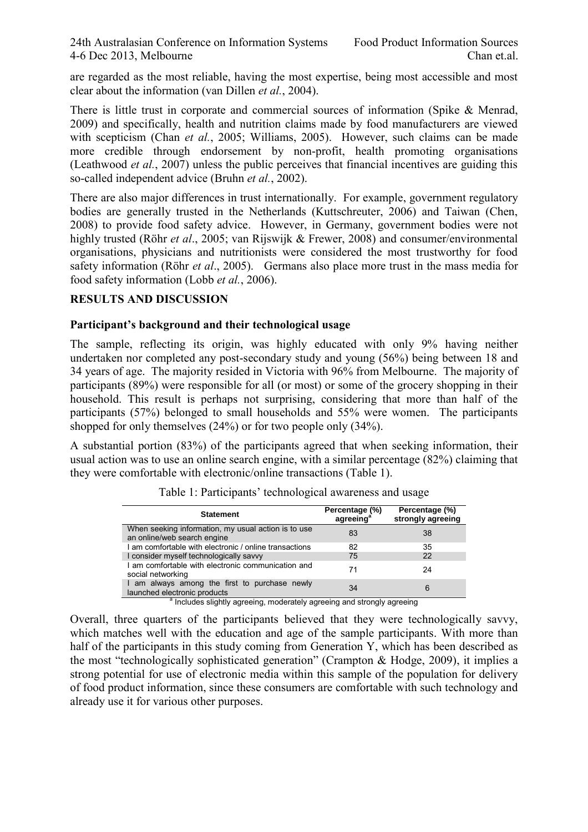are regarded as the most reliable, having the most expertise, being most accessible and most clear about the information (van Dillen *et al.*, 2004).

There is little trust in corporate and commercial sources of information (Spike & Menrad, 2009) and specifically, health and nutrition claims made by food manufacturers are viewed with scepticism (Chan *et al.*, 2005; Williams, 2005). However, such claims can be made more credible through endorsement by non-profit, health promoting organisations (Leathwood *et al.*, 2007) unless the public perceives that financial incentives are guiding this so-called independent advice (Bruhn *et al.*, 2002).

There are also major differences in trust internationally. For example, government regulatory bodies are generally trusted in the Netherlands (Kuttschreuter, 2006) and Taiwan (Chen, 2008) to provide food safety advice. However, in Germany, government bodies were not highly trusted (Röhr *et al*., 2005; van Rijswijk & Frewer, 2008) and consumer/environmental organisations, physicians and nutritionists were considered the most trustworthy for food safety information (Röhr *et al*., 2005). Germans also place more trust in the mass media for food safety information (Lobb *et al.*, 2006).

#### **RESULTS AND DISCUSSION**

#### **Participant's background and their technological usage**

The sample, reflecting its origin, was highly educated with only 9% having neither undertaken nor completed any post-secondary study and young (56%) being between 18 and 34 years of age. The majority resided in Victoria with 96% from Melbourne. The majority of participants (89%) were responsible for all (or most) or some of the grocery shopping in their household. This result is perhaps not surprising, considering that more than half of the participants (57%) belonged to small households and 55% were women. The participants shopped for only themselves (24%) or for two people only (34%).

A substantial portion (83%) of the participants agreed that when seeking information, their usual action was to use an online search engine, with a similar percentage (82%) claiming that they were comfortable with electronic/online transactions (Table 1).

| <b>Statement</b>                                                                   | Percentage (%)<br>agreeing <sup>®</sup> | Percentage (%)<br>strongly agreeing |
|------------------------------------------------------------------------------------|-----------------------------------------|-------------------------------------|
| When seeking information, my usual action is to use<br>an online/web search engine | 83                                      | 38                                  |
| am comfortable with electronic / online transactions                               | 82                                      | 35                                  |
| I consider myself technologically savvy                                            | 75                                      | 22                                  |
| I am comfortable with electronic communication and<br>social networking            | 71                                      | 24                                  |
| I am always among the first to purchase newly<br>launched electronic products      | 34                                      | 6                                   |
| <sup>a</sup> Includes slightly agreeing, moderately agreeing and strongly agreeing |                                         |                                     |

Table 1: Participants' technological awareness and usage

Overall, three quarters of the participants believed that they were technologically savvy, which matches well with the education and age of the sample participants. With more than half of the participants in this study coming from Generation Y, which has been described as the most "technologically sophisticated generation" (Crampton & Hodge, 2009), it implies a strong potential for use of electronic media within this sample of the population for delivery of food product information, since these consumers are comfortable with such technology and already use it for various other purposes.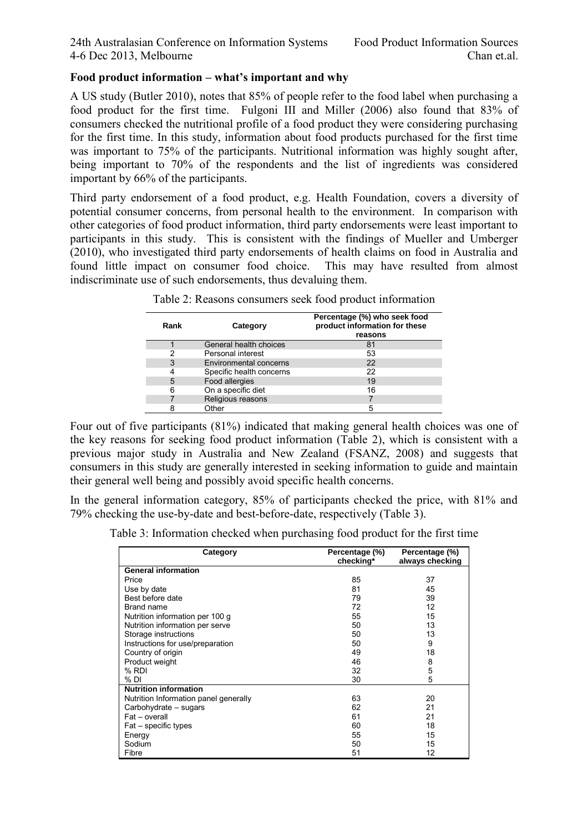#### **Food product information – what's important and why**

A US study (Butler 2010), notes that 85% of people refer to the food label when purchasing a food product for the first time. Fulgoni III and Miller (2006) also found that 83% of consumers checked the nutritional profile of a food product they were considering purchasing for the first time. In this study, information about food products purchased for the first time was important to 75% of the participants. Nutritional information was highly sought after, being important to 70% of the respondents and the list of ingredients was considered important by 66% of the participants.

Third party endorsement of a food product, e.g. Health Foundation, covers a diversity of potential consumer concerns, from personal health to the environment. In comparison with other categories of food product information, third party endorsements were least important to participants in this study. This is consistent with the findings of Mueller and Umberger (2010), who investigated third party endorsements of health claims on food in Australia and found little impact on consumer food choice. indiscriminate use of such endorsements, thus devaluing them.

| Rank | Category                      | Percentage (%) who seek food<br>product information for these<br>reasons |
|------|-------------------------------|--------------------------------------------------------------------------|
|      | General health choices        | 81                                                                       |
| າ    | Personal interest             | 53                                                                       |
| 3    | <b>Environmental concerns</b> | 22                                                                       |
| 4    | Specific health concerns      | 22                                                                       |
| 5    | Food allergies                | 19                                                                       |
| 6    | On a specific diet            | 16                                                                       |
|      | Religious reasons             |                                                                          |
|      | Other                         | 5                                                                        |

| Table 2: Reasons consumers seek food product information |  |  |  |  |  |  |  |  |
|----------------------------------------------------------|--|--|--|--|--|--|--|--|
|----------------------------------------------------------|--|--|--|--|--|--|--|--|

Four out of five participants (81%) indicated that making general health choices was one of the key reasons for seeking food product information (Table 2), which is consistent with a previous major study in Australia and New Zealand (FSANZ, 2008) and suggests that consumers in this study are generally interested in seeking information to guide and maintain their general well being and possibly avoid specific health concerns.

In the general information category, 85% of participants checked the price, with 81% and 79% checking the use-by-date and best-before-date, respectively (Table 3).

Table 3: Information checked when purchasing food product for the first time

| Category                              | Percentage (%)<br>checking* | Percentage (%)<br>always checking |
|---------------------------------------|-----------------------------|-----------------------------------|
| <b>General information</b>            |                             |                                   |
| Price                                 | 85                          | 37                                |
| Use by date                           | 81                          | 45                                |
| Best before date                      | 79                          | 39                                |
| Brand name                            | 72                          | 12                                |
| Nutrition information per 100 g       | 55                          | 15                                |
| Nutrition information per serve       | 50                          | 13                                |
| Storage instructions                  | 50                          | 13                                |
| Instructions for use/preparation      | 50                          | 9                                 |
| Country of origin                     | 49                          | 18                                |
| Product weight                        | 46                          | 8                                 |
| % RDI                                 | 32                          | 5                                 |
| % DI                                  | 30                          | 5                                 |
| <b>Nutrition information</b>          |                             |                                   |
| Nutrition Information panel generally | 63                          | 20                                |
| Carbohydrate – sugars                 | 62                          | 21                                |
| Fat - overall                         | 61                          | 21                                |
| Fat - specific types                  | 60                          | 18                                |
| Energy                                | 55                          | 15                                |
| Sodium                                | 50                          | 15                                |
| Fibre                                 | 51                          | 12                                |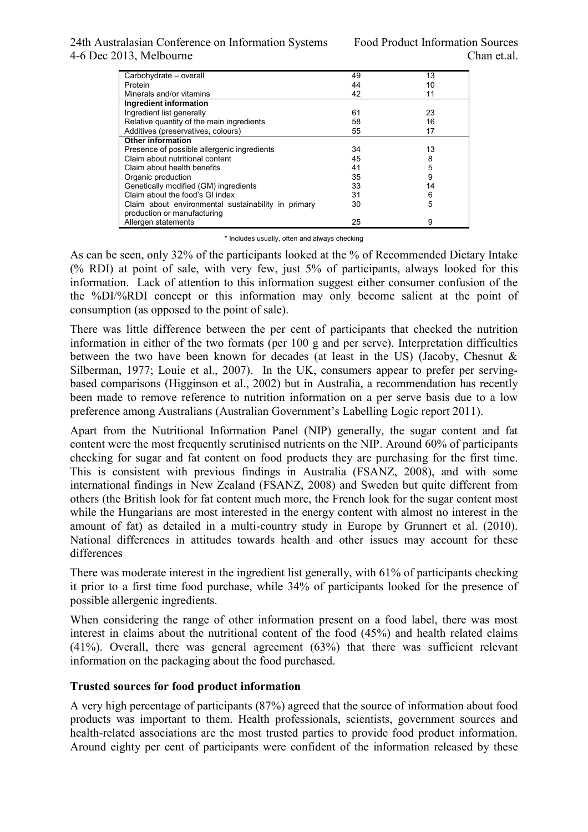#### 24th Australasian Conference on Information Systems Food Product Information Sources 4-6 Dec 2013, Melbourne Chan et.al.

| Carbohydrate - overall                              | 49 | 13 |
|-----------------------------------------------------|----|----|
| Protein                                             | 44 | 10 |
| Minerals and/or vitamins                            | 42 | 11 |
| Ingredient information                              |    |    |
| Ingredient list generally                           | 61 | 23 |
| Relative quantity of the main ingredients           | 58 | 16 |
| Additives (preservatives, colours)                  | 55 | 17 |
| Other information                                   |    |    |
| Presence of possible allergenic ingredients         | 34 | 13 |
| Claim about nutritional content                     | 45 | 8  |
| Claim about health benefits                         | 41 | 5  |
| Organic production                                  | 35 | 9  |
| Genetically modified (GM) ingredients               | 33 | 14 |
| Claim about the food's GI index                     | 31 | 6  |
| Claim about environmental sustainability in primary | 30 | 5  |
| production or manufacturing                         |    |    |
| Allergen statements                                 | 25 | 9  |
|                                                     |    |    |

\* Includes usually, often and always checking

As can be seen, only 32% of the participants looked at the % of Recommended Dietary Intake (% RDI) at point of sale, with very few, just 5% of participants, always looked for this information. Lack of attention to this information suggest either consumer confusion of the the %DI/%RDI concept or this information may only become salient at the point of consumption (as opposed to the point of sale).

There was little difference between the per cent of participants that checked the nutrition information in either of the two formats (per 100 g and per serve). Interpretation difficulties between the two have been known for decades (at least in the US) (Jacoby, Chesnut & Silberman, 1977; Louie et al., 2007). In the UK, consumers appear to prefer per servingbased comparisons (Higginson et al., 2002) but in Australia, a recommendation has recently been made to remove reference to nutrition information on a per serve basis due to a low preference among Australians (Australian Government's Labelling Logic report 2011).

Apart from the Nutritional Information Panel (NIP) generally, the sugar content and fat content were the most frequently scrutinised nutrients on the NIP. Around 60% of participants checking for sugar and fat content on food products they are purchasing for the first time. This is consistent with previous findings in Australia (FSANZ, 2008), and with some international findings in New Zealand (FSANZ, 2008) and Sweden but quite different from others (the British look for fat content much more, the French look for the sugar content most while the Hungarians are most interested in the energy content with almost no interest in the amount of fat) as detailed in a multi-country study in Europe by Grunnert et al. (2010). National differences in attitudes towards health and other issues may account for these differences

There was moderate interest in the ingredient list generally, with 61% of participants checking it prior to a first time food purchase, while 34% of participants looked for the presence of possible allergenic ingredients.

When considering the range of other information present on a food label, there was most interest in claims about the nutritional content of the food (45%) and health related claims (41%). Overall, there was general agreement (63%) that there was sufficient relevant information on the packaging about the food purchased.

#### **Trusted sources for food product information**

A very high percentage of participants (87%) agreed that the source of information about food products was important to them. Health professionals, scientists, government sources and health-related associations are the most trusted parties to provide food product information. Around eighty per cent of participants were confident of the information released by these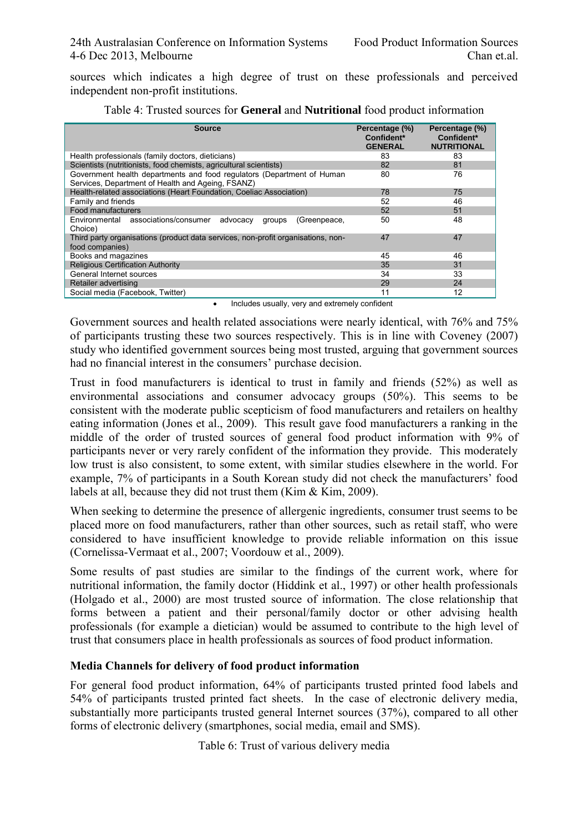sources which indicates a high degree of trust on these professionals and perceived independent non-profit institutions.

| <b>Source</b>                                                                                                               | Percentage (%)<br>Confident*<br><b>GENERAL</b> | Percentage (%)<br>Confident*<br><b>NUTRITIONAL</b> |
|-----------------------------------------------------------------------------------------------------------------------------|------------------------------------------------|----------------------------------------------------|
| Health professionals (family doctors, dieticians)                                                                           | 83                                             | 83                                                 |
| Scientists (nutritionists, food chemists, agricultural scientists)                                                          | 82                                             | 81                                                 |
| Government health departments and food regulators (Department of Human<br>Services, Department of Health and Ageing, FSANZ) | 80                                             | 76                                                 |
| Health-related associations (Heart Foundation, Coeliac Association)                                                         | 78                                             | 75                                                 |
| Family and friends                                                                                                          | 52                                             | 46                                                 |
| Food manufacturers                                                                                                          | 52                                             | 51                                                 |
| Environmental associations/consumer<br>advocacy<br>(Greenpeace,<br>groups<br>Choice)                                        | 50                                             | 48                                                 |
| Third party organisations (product data services, non-profit organisations, non-<br>food companies)                         | 47                                             | 47                                                 |
| Books and magazines                                                                                                         | 45                                             | 46                                                 |
| <b>Religious Certification Authority</b>                                                                                    | 35                                             | 31                                                 |
| General Internet sources                                                                                                    | 34                                             | 33                                                 |
| Retailer advertising                                                                                                        | 29                                             | 24                                                 |
| Social media (Facebook, Twitter)                                                                                            | 11                                             | 12                                                 |
| المتمام فالمتمام الراح ممتمسات والمسترين متسمر بالمراجين المسامر بالمسا                                                     |                                                |                                                    |

| Table 4: Trusted sources for <b>General</b> and <b>Nutritional</b> food product information |  |
|---------------------------------------------------------------------------------------------|--|
|---------------------------------------------------------------------------------------------|--|

• Includes usually, very and extremely confident

Government sources and health related associations were nearly identical, with 76% and 75% of participants trusting these two sources respectively. This is in line with Coveney (2007) study who identified government sources being most trusted, arguing that government sources had no financial interest in the consumers' purchase decision.

Trust in food manufacturers is identical to trust in family and friends (52%) as well as environmental associations and consumer advocacy groups (50%). This seems to be consistent with the moderate public scepticism of food manufacturers and retailers on healthy eating information (Jones et al., 2009). This result gave food manufacturers a ranking in the middle of the order of trusted sources of general food product information with 9% of participants never or very rarely confident of the information they provide. This moderately low trust is also consistent, to some extent, with similar studies elsewhere in the world. For example, 7% of participants in a South Korean study did not check the manufacturers' food labels at all, because they did not trust them (Kim & Kim, 2009).

When seeking to determine the presence of allergenic ingredients, consumer trust seems to be placed more on food manufacturers, rather than other sources, such as retail staff, who were considered to have insufficient knowledge to provide reliable information on this issue (Cornelissa-Vermaat et al., 2007; Voordouw et al., 2009).

Some results of past studies are similar to the findings of the current work, where for nutritional information, the family doctor (Hiddink et al., 1997) or other health professionals (Holgado et al., 2000) are most trusted source of information. The close relationship that forms between a patient and their personal/family doctor or other advising health professionals (for example a dietician) would be assumed to contribute to the high level of trust that consumers place in health professionals as sources of food product information.

#### **Media Channels for delivery of food product information**

For general food product information, 64% of participants trusted printed food labels and 54% of participants trusted printed fact sheets. In the case of electronic delivery media, substantially more participants trusted general Internet sources (37%), compared to all other forms of electronic delivery (smartphones, social media, email and SMS).

Table 6: Trust of various delivery media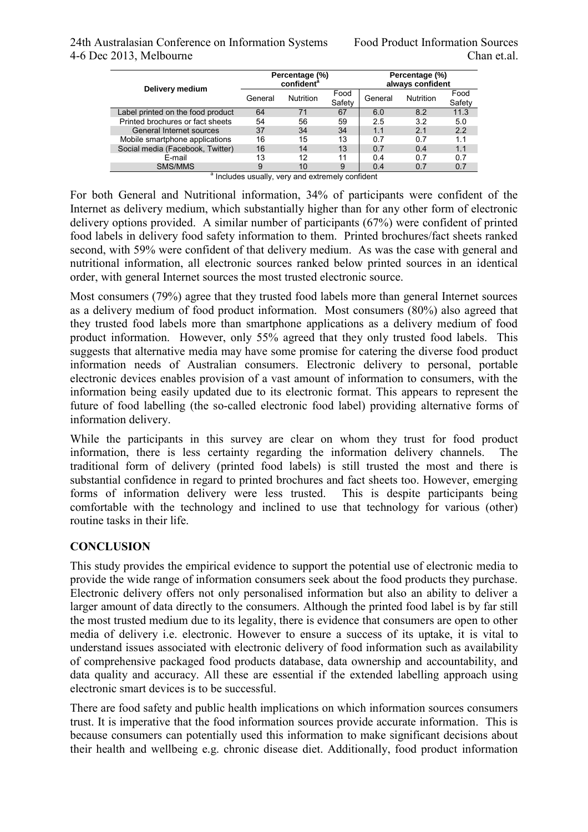| Delivery medium                                             | Percentage (%)<br>confident <sup>a</sup> |                  |                | Percentage (%)<br>always confident |                  |                |
|-------------------------------------------------------------|------------------------------------------|------------------|----------------|------------------------------------|------------------|----------------|
|                                                             | General                                  | <b>Nutrition</b> | Food<br>Safety | General                            | <b>Nutrition</b> | Food<br>Safety |
| Label printed on the food product                           | 64                                       | 71               | 67             | 6.0                                | 8.2              | 11.3           |
| Printed brochures or fact sheets                            | 54                                       | 56               | 59             | 2.5                                | 3.2              | 5.0            |
| General Internet sources                                    | 37                                       | 34               | 34             | 1.1                                | 2 <sub>1</sub>   | 2.2            |
| Mobile smartphone applications                              | 16                                       | 15               | 13             | 0.7                                | 0.7              | 1.1            |
| Social media (Facebook, Twitter)                            | 16                                       | 14               | 13             | 0.7                                | 0.4              | 1.1            |
| F-mail                                                      | 13                                       | 12               | 11             | 0.4                                | 0.7              | 0.7            |
| SMS/MMS                                                     | 9                                        | 10               | 9              | 0.4                                | 0.7              | 0.7            |
| <sup>a</sup> Includes usually, very and extremely confident |                                          |                  |                |                                    |                  |                |

For both General and Nutritional information, 34% of participants were confident of the Internet as delivery medium, which substantially higher than for any other form of electronic delivery options provided. A similar number of participants (67%) were confident of printed food labels in delivery food safety information to them. Printed brochures/fact sheets ranked second, with 59% were confident of that delivery medium. As was the case with general and nutritional information, all electronic sources ranked below printed sources in an identical order, with general Internet sources the most trusted electronic source.

Most consumers (79%) agree that they trusted food labels more than general Internet sources as a delivery medium of food product information. Most consumers (80%) also agreed that they trusted food labels more than smartphone applications as a delivery medium of food product information. However, only 55% agreed that they only trusted food labels. This suggests that alternative media may have some promise for catering the diverse food product information needs of Australian consumers. Electronic delivery to personal, portable electronic devices enables provision of a vast amount of information to consumers, with the information being easily updated due to its electronic format. This appears to represent the future of food labelling (the so-called electronic food label) providing alternative forms of information delivery.

While the participants in this survey are clear on whom they trust for food product information, there is less certainty regarding the information delivery channels. The traditional form of delivery (printed food labels) is still trusted the most and there is substantial confidence in regard to printed brochures and fact sheets too. However, emerging forms of information delivery were less trusted. This is despite participants being comfortable with the technology and inclined to use that technology for various (other) routine tasks in their life.

#### **CONCLUSION**

This study provides the empirical evidence to support the potential use of electronic media to provide the wide range of information consumers seek about the food products they purchase. Electronic delivery offers not only personalised information but also an ability to deliver a larger amount of data directly to the consumers. Although the printed food label is by far still the most trusted medium due to its legality, there is evidence that consumers are open to other media of delivery i.e. electronic. However to ensure a success of its uptake, it is vital to understand issues associated with electronic delivery of food information such as availability of comprehensive packaged food products database, data ownership and accountability, and data quality and accuracy. All these are essential if the extended labelling approach using electronic smart devices is to be successful.

There are food safety and public health implications on which information sources consumers trust. It is imperative that the food information sources provide accurate information. This is because consumers can potentially used this information to make significant decisions about their health and wellbeing e.g. chronic disease diet. Additionally, food product information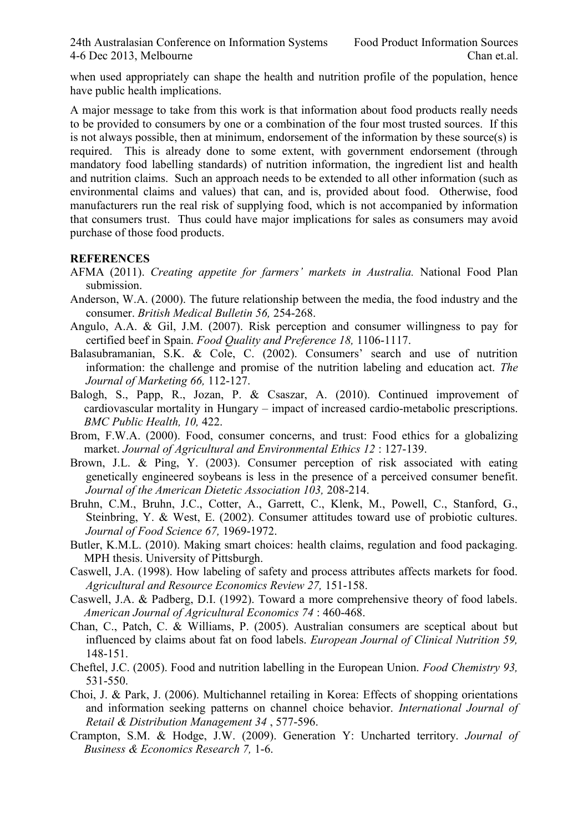when used appropriately can shape the health and nutrition profile of the population, hence have public health implications.

A major message to take from this work is that information about food products really needs to be provided to consumers by one or a combination of the four most trusted sources. If this is not always possible, then at minimum, endorsement of the information by these source(s) is required. This is already done to some extent, with government endorsement (through mandatory food labelling standards) of nutrition information, the ingredient list and health and nutrition claims. Such an approach needs to be extended to all other information (such as environmental claims and values) that can, and is, provided about food. Otherwise, food manufacturers run the real risk of supplying food, which is not accompanied by information that consumers trust. Thus could have major implications for sales as consumers may avoid purchase of those food products.

#### **REFERENCES**

- AFMA (2011). *Creating appetite for farmers' markets in Australia.* National Food Plan submission.
- Anderson, W.A. (2000). The future relationship between the media, the food industry and the consumer. *British Medical Bulletin 56,* 254-268.
- Angulo, A.A. & Gil, J.M. (2007). Risk perception and consumer willingness to pay for certified beef in Spain. *Food Quality and Preference 18,* 1106-1117.
- Balasubramanian, S.K. & Cole, C. (2002). Consumers' search and use of nutrition information: the challenge and promise of the nutrition labeling and education act. *The Journal of Marketing 66,* 112-127.
- Balogh, S., Papp, R., Jozan, P. & Csaszar, A. (2010). Continued improvement of cardiovascular mortality in Hungary – impact of increased cardio-metabolic prescriptions. *BMC Public Health, 10,* 422.
- Brom, F.W.A. (2000). Food, consumer concerns, and trust: Food ethics for a globalizing market. *Journal of Agricultural and Environmental Ethics 12* : 127-139.
- Brown, J.L. & Ping, Y. (2003). Consumer perception of risk associated with eating genetically engineered soybeans is less in the presence of a perceived consumer benefit. *Journal of the American Dietetic Association 103,* 208-214.
- Bruhn, C.M., Bruhn, J.C., Cotter, A., Garrett, C., Klenk, M., Powell, C., Stanford, G., Steinbring, Y. & West, E. (2002). Consumer attitudes toward use of probiotic cultures. *Journal of Food Science 67,* 1969-1972.
- Butler, K.M.L. (2010). Making smart choices: health claims, regulation and food packaging. MPH thesis. University of Pittsburgh.
- Caswell, J.A. (1998). How labeling of safety and process attributes affects markets for food. *Agricultural and Resource Economics Review 27,* 151-158.
- Caswell, J.A. & Padberg, D.I. (1992). Toward a more comprehensive theory of food labels. *American Journal of Agricultural Economics 74* : 460-468.
- Chan, C., Patch, C. & Williams, P. (2005). Australian consumers are sceptical about but influenced by claims about fat on food labels. *European Journal of Clinical Nutrition 59,* 148-151.
- Cheftel, J.C. (2005). Food and nutrition labelling in the European Union. *Food Chemistry 93,* 531-550.
- Choi, J. & Park, J. (2006). Multichannel retailing in Korea: Effects of shopping orientations and information seeking patterns on channel choice behavior. *International Journal of Retail & Distribution Management 34* , 577-596.
- Crampton, S.M. & Hodge, J.W. (2009). Generation Y: Uncharted territory. *Journal of Business & Economics Research 7,* 1-6.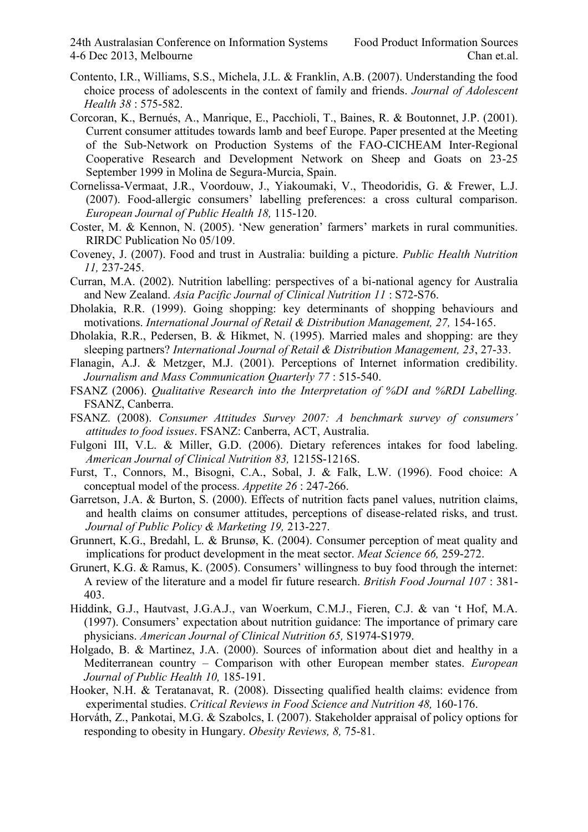- Contento, I.R., Williams, S.S., Michela, J.L. & Franklin, A.B. (2007). Understanding the food choice process of adolescents in the context of family and friends. *Journal of Adolescent Health 38* : 575-582.
- Corcoran, K., Bernués, A., Manrique, E., Pacchioli, T., Baines, R. & Boutonnet, J.P. (2001). Current consumer attitudes towards lamb and beef Europe. Paper presented at the Meeting of the Sub-Network on Production Systems of the FAO-CICHEAM Inter-Regional Cooperative Research and Development Network on Sheep and Goats on 23-25 September 1999 in Molina de Segura-Murcia, Spain.
- Cornelissa-Vermaat, J.R., Voordouw, J., Yiakoumaki, V., Theodoridis, G. & Frewer, L.J. (2007). Food-allergic consumers' labelling preferences: a cross cultural comparison. *European Journal of Public Health 18,* 115-120.
- Coster, M. & Kennon, N. (2005). 'New generation' farmers' markets in rural communities. RIRDC Publication No 05/109.
- Coveney, J. (2007). Food and trust in Australia: building a picture. *Public Health Nutrition 11,* 237-245.
- Curran, M.A. (2002). Nutrition labelling: perspectives of a bi-national agency for Australia and New Zealand. *Asia Pacific Journal of Clinical Nutrition 11* : S72-S76.
- Dholakia, R.R. (1999). Going shopping: key determinants of shopping behaviours and motivations. *International Journal of Retail & Distribution Management, 27, 154-165.*
- Dholakia, R.R., Pedersen, B. & Hikmet, N. (1995). Married males and shopping: are they sleeping partners? *International Journal of Retail & Distribution Management, 23*, 27-33.
- Flanagin, A.J. & Metzger, M.J. (2001). Perceptions of Internet information credibility. *Journalism and Mass Communication Quarterly 77* : 515-540.
- FSANZ (2006). *Qualitative Research into the Interpretation of %DI and %RDI Labelling.*  FSANZ, Canberra.
- FSANZ. (2008). *Consumer Attitudes Survey 2007: A benchmark survey of consumers' attitudes to food issues*. FSANZ: Canberra, ACT, Australia.
- Fulgoni III, V.L. & Miller, G.D. (2006). Dietary references intakes for food labeling. *American Journal of Clinical Nutrition 83,* 1215S-1216S.
- Furst, T., Connors, M., Bisogni, C.A., Sobal, J. & Falk, L.W. (1996). Food choice: A conceptual model of the process. *Appetite 26* : 247-266.
- Garretson, J.A. & Burton, S. (2000). Effects of nutrition facts panel values, nutrition claims, and health claims on consumer attitudes, perceptions of disease-related risks, and trust. *Journal of Public Policy & Marketing 19,* 213-227.
- Grunnert, K.G., Bredahl, L. & Brunsø, K. (2004). Consumer perception of meat quality and implications for product development in the meat sector. *Meat Science 66,* 259-272.
- Grunert, K.G. & Ramus, K. (2005). Consumers' willingness to buy food through the internet: A review of the literature and a model fir future research. *British Food Journal 107* : 381- 403.
- Hiddink, G.J., Hautvast, J.G.A.J., van Woerkum, C.M.J., Fieren, C.J. & van 't Hof, M.A. (1997). Consumers' expectation about nutrition guidance: The importance of primary care physicians. *American Journal of Clinical Nutrition 65,* S1974-S1979.
- Holgado, B. & Martinez, J.A. (2000). Sources of information about diet and healthy in a Mediterranean country – Comparison with other European member states. *European Journal of Public Health 10,* 185-191.
- Hooker, N.H. & Teratanavat, R. (2008). Dissecting qualified health claims: evidence from experimental studies. *Critical Reviews in Food Science and Nutrition 48,* 160-176.
- Horváth, Z., Pankotai, M.G. & Szabolcs, I. (2007). Stakeholder appraisal of policy options for responding to obesity in Hungary. *Obesity Reviews, 8,* 75-81.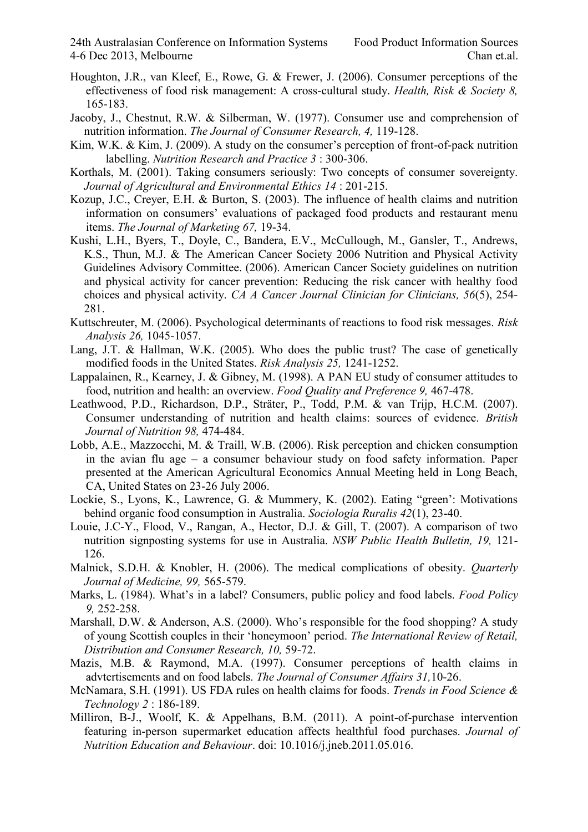- Houghton, J.R., van Kleef, E., Rowe, G. & Frewer, J. (2006). Consumer perceptions of the effectiveness of food risk management: A cross-cultural study. *Health, Risk & Society 8,* 165-183.
- Jacoby, J., Chestnut, R.W. & Silberman, W. (1977). Consumer use and comprehension of nutrition information. *The Journal of Consumer Research, 4,* 119-128.
- Kim, W.K. & Kim, J. (2009). A study on the consumer's perception of front-of-pack nutrition labelling. *Nutrition Research and Practice 3* : 300-306.
- Korthals, M. (2001). Taking consumers seriously: Two concepts of consumer sovereignty. *Journal of Agricultural and Environmental Ethics 14* : 201-215.
- Kozup, J.C., Creyer, E.H. & Burton, S. (2003). The influence of health claims and nutrition information on consumers' evaluations of packaged food products and restaurant menu items. *The Journal of Marketing 67,* 19-34.
- Kushi, L.H., Byers, T., Doyle, C., Bandera, E.V., McCullough, M., Gansler, T., Andrews, K.S., Thun, M.J. & The American Cancer Society 2006 Nutrition and Physical Activity Guidelines Advisory Committee. (2006). American Cancer Society guidelines on nutrition and physical activity for cancer prevention: Reducing the risk cancer with healthy food choices and physical activity. *CA A Cancer Journal Clinician for Clinicians, 56*(5), 254- 281.
- Kuttschreuter, M. (2006). Psychological determinants of reactions to food risk messages. *Risk Analysis 26,* 1045-1057.
- Lang, J.T. & Hallman, W.K. (2005). Who does the public trust? The case of genetically modified foods in the United States. *Risk Analysis 25,* 1241-1252.
- Lappalainen, R., Kearney, J. & Gibney, M. (1998). A PAN EU study of consumer attitudes to food, nutrition and health: an overview. *Food Quality and Preference 9,* 467-478.
- Leathwood, P.D., Richardson, D.P., Sträter, P., Todd, P.M. & van Trijp, H.C.M. (2007). Consumer understanding of nutrition and health claims: sources of evidence. *British Journal of Nutrition 98,* 474-484.
- Lobb, A.E., Mazzocchi, M. & Traill, W.B. (2006). Risk perception and chicken consumption in the avian flu age – a consumer behaviour study on food safety information. Paper presented at the American Agricultural Economics Annual Meeting held in Long Beach, CA, United States on 23-26 July 2006.
- Lockie, S., Lyons, K., Lawrence, G. & Mummery, K. (2002). Eating "green': Motivations behind organic food consumption in Australia. *Sociologia Ruralis 42*(1), 23-40.
- Louie, J.C-Y., Flood, V., Rangan, A., Hector, D.J. & Gill, T. (2007). A comparison of two nutrition signposting systems for use in Australia. *NSW Public Health Bulletin, 19,* 121- 126.
- Malnick, S.D.H. & Knobler, H. (2006). The medical complications of obesity. *Quarterly Journal of Medicine, 99,* 565-579.
- Marks, L. (1984). What's in a label? Consumers, public policy and food labels. *Food Policy 9,* 252-258.
- Marshall, D.W. & Anderson, A.S. (2000). Who's responsible for the food shopping? A study of young Scottish couples in their 'honeymoon' period. *The International Review of Retail, Distribution and Consumer Research, 10,* 59-72.
- Mazis, M.B. & Raymond, M.A. (1997). Consumer perceptions of health claims in advtertisements and on food labels. *The Journal of Consumer Affairs 31,*10-26.
- McNamara, S.H. (1991). US FDA rules on health claims for foods. *Trends in Food Science & Technology 2* : 186-189.
- Milliron, B-J., Woolf, K. & Appelhans, B.M. (2011). A point-of-purchase intervention featuring in-person supermarket education affects healthful food purchases. *Journal of Nutrition Education and Behaviour*. doi: 10.1016/j.jneb.2011.05.016.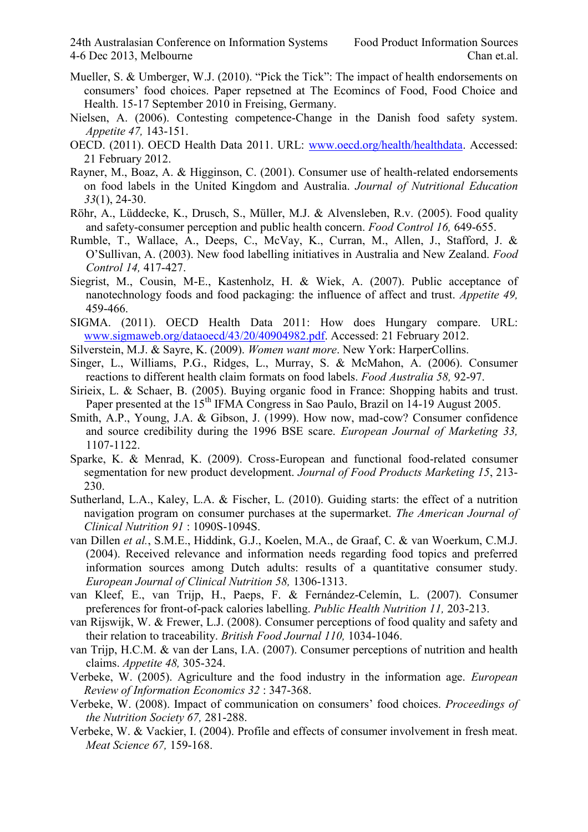- Mueller, S. & Umberger, W.J. (2010). "Pick the Tick": The impact of health endorsements on consumers' food choices. Paper repsetned at The Ecomincs of Food, Food Choice and Health. 15-17 September 2010 in Freising, Germany.
- Nielsen, A. (2006). Contesting competence-Change in the Danish food safety system. *Appetite 47,* 143-151.
- OECD. (2011). OECD Health Data 2011. URL: [www.oecd.org/health/healthdata.](http://www.oecd.org/health/healthdata) Accessed: 21 February 2012.
- Rayner, M., Boaz, A. & Higginson, C. (2001). Consumer use of health-related endorsements on food labels in the United Kingdom and Australia. *Journal of Nutritional Education 33*(1), 24-30.
- Röhr, A., Lüddecke, K., Drusch, S., Müller, M.J. & Alvensleben, R.v. (2005). Food quality and safety-consumer perception and public health concern. *Food Control 16,* 649-655.
- Rumble, T., Wallace, A., Deeps, C., McVay, K., Curran, M., Allen, J., Stafford, J. & O'Sullivan, A. (2003). New food labelling initiatives in Australia and New Zealand. *Food Control 14,* 417-427.
- Siegrist, M., Cousin, M-E., Kastenholz, H. & Wiek, A. (2007). Public acceptance of nanotechnology foods and food packaging: the influence of affect and trust. *Appetite 49,* 459-466.
- SIGMA. (2011). OECD Health Data 2011: How does Hungary compare. URL: [www.sigmaweb.org/dataoecd/43/20/40904982.pdf.](http://www.sigmaweb.org/dataoecd/43/20/40904982.pdf) Accessed: 21 February 2012.
- Silverstein, M.J. & Sayre, K. (2009). *Women want more*. New York: HarperCollins.
- Singer, L., Williams, P.G., Ridges, L., Murray, S. & McMahon, A. (2006). Consumer reactions to different health claim formats on food labels. *Food Australia 58,* 92-97.
- Sirieix, L. & Schaer, B. (2005). Buying organic food in France: Shopping habits and trust. Paper presented at the  $15<sup>th</sup>$  IFMA Congress in Sao Paulo, Brazil on 14-19 August 2005.
- Smith, A.P., Young, J.A. & Gibson, J. (1999). How now, mad-cow? Consumer confidence and source credibility during the 1996 BSE scare. *European Journal of Marketing 33,*  1107-1122.
- Sparke, K. & Menrad, K. (2009). Cross-European and functional food-related consumer segmentation for new product development. *Journal of Food Products Marketing 15*, 213- 230.
- Sutherland, L.A., Kaley, L.A. & Fischer, L. (2010). Guiding starts: the effect of a nutrition navigation program on consumer purchases at the supermarket. *The American Journal of Clinical Nutrition 91* : 1090S-1094S.
- van Dillen *et al.*, S.M.E., Hiddink, G.J., Koelen, M.A., de Graaf, C. & van Woerkum, C.M.J. (2004). Received relevance and information needs regarding food topics and preferred information sources among Dutch adults: results of a quantitative consumer study. *European Journal of Clinical Nutrition 58,* 1306-1313.
- van Kleef, E., van Trijp, H., Paeps, F. & Fernández-Celemín, L. (2007). Consumer preferences for front-of-pack calories labelling. *Public Health Nutrition 11,* 203-213.
- van Rijswijk, W. & Frewer, L.J. (2008). Consumer perceptions of food quality and safety and their relation to traceability. *British Food Journal 110,* 1034-1046.
- van Trijp, H.C.M. & van der Lans, I.A. (2007). Consumer perceptions of nutrition and health claims. *Appetite 48,* 305-324.
- Verbeke, W. (2005). Agriculture and the food industry in the information age. *European Review of Information Economics 32* : 347-368.
- Verbeke, W. (2008). Impact of communication on consumers' food choices. *Proceedings of the Nutrition Society 67,* 281-288.
- Verbeke, W. & Vackier, I. (2004). Profile and effects of consumer involvement in fresh meat. *Meat Science 67,* 159-168.